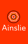

# Ainslie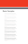### Basic Samples

#### The five boxing wizards jump quickly.

AaBbCcDdEeFfGgHhJjKkLlMmNnOoPpQqRrSsTtUuVvWwXxYyZz [äöüåøæoeç]1234567890(.,;:?!\$¢£&-\*){ÄÖÜÅØÆOEÇ} Ainslie Thin

#### The five boxing wizards jump quickly.

AaBbCcDdEeFfGgHhJjKkLlMmNnOoPpQqRrSsTtUuVvWwXxYyZz [äöüåøæoeç]1234567890(.,;:?!\$¢£&-\*){ÄÖÜÅØÆOEÇ}

Ainslie Thin Italic

#### The five boxing wizards jump quickly.

Ainslie Light AaBbCcDdEeFfGgHhJjKkLlMmNnOoPpQqRrSsTtUuVvWwXxYyZz [äöüåøæoeç]1234567890(.,;:?!\$¢£&-\*){ÄÖÜÅØÆOEÇ}

#### The five boxing wizards jump quickly.

AaBbCcDdEeFfGgHhJjKkLlMmNnOoPpQqRrSsTtUuVvWwXxYyZz [äöüåøæoeç]1234567890(.,;:?!\$¢£&-\*){ÄÖÜÅØÆOEÇ} Ainslie Light Italic

#### The five boxing wizards jump quickly.

Ainslie Book AaBbCcDdEeFfGgHhJjKkLlMmNnOoPpQqRrSsTtUuVvWwXxYyZz [äöüåøæoeç]1234567890(.,;:?!\$¢£&-\*){ÄÖÜÅØÆOEÇ}

#### The five boxing wizards jump quickly.

AaBbCcDdEeFfGgHhJjKkLlMmNnOoPpQqRrSsTtUuVvWwXxYyZz [äöüåøæoeç]1234567890(.,;:?!\$¢£&-\*){ÄÖÜÅØÆOEÇ} Ainslie Book Italic

#### The five boxing wizards jump quickly.

Ainslie Regular AaBbCcDdEeFfGgHhJjKkLlMmNnOoPpQqRrSsTtUuVvWwXxYyZz [äöüåøæoeç]1234567890(.,;:?!\$¢£&-\*){ÄÖÜÅØÆOEÇ}

#### The five boxing wizards jump quickly.

AaBbCcDdEeFfGgHhJjKkLlMmNnOoPpQqRrSsTtUuVvWwXxYyZz [äöüåøæoeç]1234567890(.,;:?!\$¢£&-\*){ÄÖÜÅØÆOEÇ}Ainslie Regular Italic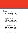### Basic Samples

#### The five boxing wizards jump quickly.

AaBbCcDdEeFfGgHhJjKkLlMmNnOoPpQqRrSsTtUuVvWwXxYyZz [äöüåøæoeç]1234567890(.,;:?!\$¢£&-\*){ÄÖÜÅØÆOEÇ} . . . . . . . . . . . . . . . . . . Ainslie Medium

#### The five boxing wizards jump quickly.

AaBbCcDdEeFfGgHhJjKkLlMmNnOoPpQqRrSsTtUuVvWwXxYyZz [äöüåøæoeç]1234567890(.,;:?!\$¢£&-\*){ÄÖÜÅØÆOEÇ} Ainslie Medium Italic

#### The five boxing wizards jump quickly.

AaBbCcDdEeFfGgHhJjKkLlMmNnOoPpQqRrSsTtUuVvWwXxYyZz [äöüåøæoeç]1234567890(.,;:?!\$¢£&-\*){ÄÖÜÅØÆOEÇ} Ainslie Demi

#### The five boxing wizards jump quickly.

AaBbCcDdEeFfGgHhJjKkLlMmNnOoPpQqRrSsTtUuVvWwXxYyZz [äöüåøæoeç]1234567890(.,;:?!\$¢£&-\*){ÄÖÜÅØÆOEÇ} Ainslie Demi Italic

#### The five boxing wizards jump quickly.

Ainslie Bold

AaBbCcDdEeFfGgHhJjKkLlMmNnOoPpQqRrSsTtUuVvWwXxYyZz [äöüåøæoeç]1234567890(.,;:?!\$¢£&-\*){ÄÖÜÅØÆOEÇ}

#### The five boxing wizards jump quickly.

AaBbCcDdEeFfGgHhJjKkLlMmNnOoPpQqRrSsTtUuVvWwXxYyZz [äöüåøæoeç]1234567890(.,;:?!\$¢£&-\*){ÄÖÜÅØÆOEÇ}Ainslie Bold Italic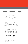## Basic Extended Samples

#### The five boxing wizards jump quickly.

Ainslie Thin Extended AaBbCcDdEeFfGgHhJjKkLlMmNnOoPpQqRrSsTtUuVvWwXxYyZz [äöüåøæoeç]1234567890(.,;:?!\$¢£&-\*){ÄÖÜÅØÆOEÇ}

#### The five boxing wizards jump quickly.

Ainslie Thin Extended Italic AaBbCcDdEeFfGgHhJjKkLlMmNnOoPpQqRrSsTtUuVvWwXxYyZz [äöüåøæoeç]1234567890(.,;:?!\$¢£&-\*){ÄÖÜÅØÆOEÇ}

#### The five boxing wizards jump quickly.

Ainslie Extended Light AaBbCcDdEeFfGgHhJjKkLlMmNnOoPpQqRrSsTtUuVvWwXxYyZz [äöüåøæoeç]1234567890(.,;:?!\$¢£&-\*){ÄÖÜÅØÆOEÇ}

#### The five boxing wizards jump quickly.

Ainslie Extended Light Italic AaBbCcDdEeFfGgHhJjKkLlMmNnOoPpQqRrSsTtUuVvWwXxYyZz [äöüåøæoeç]1234567890(.,;:?!\$¢£&-\*){ÄÖÜÅØÆOEÇ}

#### The five boxing wizards jump quickly.

AaBbCcDdEeFfGgHhJjKkLlMmNnOoPpQqRrSsTtUuVvWwXxYyZz [äöüåøæoeç]1234567890(.,;:?!\$¢£&-\*){ÄÖÜÅØÆOEÇ} Ainslie Book Extended

#### The five boxing wizards jump quickly.

Ainslie Book Extended Italic AaBbCcDdEeFfGgHhJjKkLlMmNnOoPpQqRrSsTtUuVvWwXxYyZz [äöüåøæoeç]1234567890(.,;:?!\$¢£&-\*){ÄÖÜÅØÆOEÇ}

#### The five boxing wizards jump quickly.

AaBbCcDdEeFfGgHhJjKkLlMmNnOoPpQqRrSsTtUuVvWwXxYyZz [äöüåøæoeç]1234567890(.,;:?!\$¢£&-\*){ÄÖÜÅØÆOEÇ} Ainslie Regular Extended

#### The five boxing wizards jump quickly.

AaBbCcDdEeFfGgHhJjKkLlMmNnOoPpQqRrSsTtUuVvWwXxYyZz [äöüåøæoeç]1234567890(.,;:?!\$¢£&-\*){ÄÖÜÅØÆOEÇ}

Ainslie Regular Extended Italic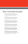## Basic Extended Samples

#### The five boxing wizards jump quickly.

AaBbCcDdEeFfGgHhJjKkLlMmNnOoPpQqRrSsTtUuVvWwXxYyZz [äöüåøæoeç]1234567890(.,;:?!\$¢£&-\*){ÄÖÜÅØÆOEÇ} Ainslie Medium Extended

#### The five boxing wizards jump quickly.

Ainslie Medium Extended Italic AaBbCcDdEeFfGgHhJjKkLlMmNnOoPpQqRrSsTtUuVvWwXxYyZz [äöüåøæoeç]1234567890(.,;:?!\$¢£&-\*){ÄÖÜÅØÆOEÇ}

#### The five boxing wizards jump quickly.

Ainslie Demi Extended AaBbCcDdEeFfGgHhJjKkLlMmNnOoPpQqRrSsTtUuVvWwXxYyZz [äöüåøæoeç]1234567890(.,;:?!\$¢£&-\*){ÄÖÜÅØÆOEÇ}

#### The five boxing wizards jump quickly.

Ainslie Demi Extended Italic AaBbCcDdEeFfGgHhJjKkLlMmNnOoPpQqRrSsTtUuVvWwXxYyZz [äöüåøæoeç]1234567890(.,;:?!\$¢£&-\*){ÄÖÜÅØÆOEÇ}

#### The five boxing wizards jump quickly.

AaBbCcDdEeFfGgHhJjKkLlMmNnOoPpQqRrSsTtUuVvWwXxYyZz [äöüåøæoeç]1234567890(.,;:?!\$¢£&-\*){ÄÖÜÅØÆOEÇ} . . . . . . . . . . . . . . . . . . . . Ainslie Bold Extended

#### The five boxing wizards jump quickly.

Ainslie Bold Extended Italic AaBbCcDdEeFfGgHhJjKkLlMmNnOoPpQqRrSsTtUuVvWwXxYyZz [äöüåøæoeç]1234567890(.,;:?!\$¢£&-\*){ÄÖÜÅØÆOEÇ}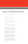## Basic Condensed Samples

#### The five boxing wizards jump quickly. AaBbCcDdEeFfGgHhJjKkLlMmNnOoPpQqRrSsTtUuVvWwXxYyZz [äöüåøæoeç]1234567890(.,;:?!\$¢£&-\*){ÄÖÜÅØÆOEÇ} Ainslie Thin Condensed The five boxing wizards jump quickly. AaBbCcDdEeFfGgHhJjKkLlMmNnOoPpQqRrSsTtUuVvWwXxYyZz [äöüåøæoeç]1234567890(.,;:?!\$¢£&-\*){ÄÖÜÅØÆOEÇ} Ainslie Thin Condensed Italic The five boxing wizards jump quickly. AaBbCcDdEeFfGgHhJjKkLlMmNnOoPpQqRrSsTtUuVvWwXxYyZz [äöüåøæoeç]1234567890(.,;:?!\$¢£&-\*){ÄÖÜÅØÆOEÇ} Ainslie Condensed Light The five boxing wizards jump quickly. AaBbCcDdEeFfGgHhJjKkLlMmNnOoPpQqRrSsTtUuVvWwXxYyZz [äöüåøæoeç]1234567890(.,;:?!\$¢£&-\*){ÄÖÜÅØÆOEÇ} Ainslie Light Condensed Italic The five boxing wizards jump quickly. AaBbCcDdEeFfGgHhJjKkLlMmNnOoPpQqRrSsTtUuVvWwXxYyZz [äöüåøæoeç]1234567890(.,;:?!\$¢£&-\*){ÄÖÜÅØÆOEÇ} Ainslie Book Condensed The five boxing wizards jump quickly. AaBbCcDdEeFfGgHhJjKkLlMmNnOoPpQqRrSsTtUuVvWwXxYyZz [äöüåøæoeç]1234567890(.,;:?!\$¢£&-\*){ÄÖÜÅØÆOEÇ} Ainslie Book Condensed Italic The five boxing wizards jump quickly. AaBbCcDdEeFfGgHhJjKkLlMmNnOoPpQqRrSsTtUuVvWwXxYyZz [äöüåøæoeç]1234567890(.,;:?!\$¢£&-\*){ÄÖÜÅØÆOEÇ} Ainslie Regular Condensed

#### The five boxing wizards jump quickly.

AaBbCcDdEeFfGgHhJjKkLlMmNnOoPpQqRrSsTtUuVvWwXxYyZz [äöüåøæoeç]1234567890(.,;:?!\$¢£&-\*){ÄÖÜÅØÆOEÇ}Ainslie Regular Condensed Italic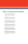## Basic Condensed Samples

#### The five boxing wizards jump quickly.

AaBbCcDdEeFfGgHhJjKkLlMmNnOoPpQqRrSsTtUuVvWwXxYyZz [äöüåøæoeç]1234567890(.,;:?!\$¢£&-\*){ÄÖÜÅØÆOEÇ} Ainslie Medium Condensed

#### The five boxing wizards jump quickly.

AaBbCcDdEeFfGgHhJjKkLlMmNnOoPpQqRrSsTtUuVvWwXxYyZz [äöüåøæoeç]1234567890(.,;:?!\$¢£&-\*){ÄÖÜÅØÆOEÇ} Ainslie Medium Condensed Italic

#### The five boxing wizards jump quickly.

Ainslie Demi Condensed AaBbCcDdEeFfGgHhJjKkLlMmNnOoPpQqRrSsTtUuVvWwXxYyZz [äöüåøæoeç]1234567890(.,;:?!\$¢£&-\*){ÄÖÜÅØÆOEÇ}

#### The five boxing wizards jump quickly.

Ainslie Demi Condensed Italic AaBbCcDdEeFfGgHhJjKkLlMmNnOoPpQqRrSsTtUuVvWwXxYyZz [äöüåøæoeç]1234567890(.,;:?!\$¢£&-\*){ÄÖÜÅØÆOEÇ}

#### The five boxing wizards jump quickly.

AaBbCcDdEeFfGgHhJjKkLlMmNnOoPpQqRrSsTtUuVvWwXxYyZz [äöüåøæoeç]1234567890(.,;:?!\$¢£&-\*){ÄÖÜÅØÆOEÇ} Ainslie Bold Condensed

#### The five boxing wizards jump quickly.

AaBbCcDdEeFfGgHhJjKkLlMmNnOoPpQqRrSsTtUuVvWwXxYyZz [äöüåøæoeç]1234567890(.,;:?!\$¢£&-\*){ÄÖÜÅØÆOEÇ}

Ainslie Bold Condensed Italic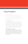## Copy Snippets

#### Ainslie Thin, Česky

"Kůň domácí (Equus caballus) nebo pouze kůň je domestikované zvíře patřící mezi lichokopytníky. V minulosti se koně používali na především na přepravu. Od 20. století se na nich jezdí hlavně rekreačně.Slovo kůň označuje obecně jak samce, tak i samici koně. Samice je klisna; ta která již rodila, je kobyla. Samice v říji se hříná nebo se říná. Gravidní samice se označuje pojmem březí. Samice, která porodila se ohřebila. Samec je hřebec, vykastrovaný pak valach. Mládě koně se nazývá hříbě. Kůň používaný k orání je oř (často je to vnímáno jako básnický výraz)." Source: http://cs.wikipedia.org/wiki/K%C5%AF%C5%88

#### Ainslie Light, Polski

"Koń domowy (Equus caballus L.) – ssak nieparzystokopytny z rodziny koniowatych. Koń został udomowiony prawdopodobnie na terenie północnego Kazachstanu w okresie kultury Botai tj. około 3,5 tys. lat p.n.e.[1][2] Przodkami koni orientalnych, od których pochodzą konie gorącokrwiste, były prawdopodobnie koń Przewalskiego i tarpan; konie zimnokrwiste pochodzą natomiast od konia leśnego z Północnej Europy. Koń Przewalskiego jest obecnie jedynym przedstawicielem gatunku koni dzikich. Rasa konik polski wykazuje bardzo duże podobieństwo do tarpana, lecz nie jest genetycznie tą samą rasą (chociaż poza Polską koniki polskie bywają określane mianem tarpan). [3] W styczniu 2007 zespół naukowców z Massachusetts Institute of Technology i Uniwersytetu Harvarda poinformował, że stworzył wstępną mapę genomu konia." Source: http://pl.wikipedia.org/wiki/Ko%C5%84

#### Ainslie Regular, Português

"O cavalo (do latim caballu) é um mamífero hipomorfo, da ordem dos ungulados, uma das três subespécies modernas da espécie Equus ferus. A denominação para as fêmeas é égua, para os machos não castrados, garanhão e para os filhotes, potro. Esse grande ungulado é membro da mesma família dos asnos e das zebras, a dos equídeos. Todos os sete membros da família dos equídeos são do mesmo gênero, Equus, e podem relacionar-se e produzir híbridos, não férteis, como as mulas. Pertencem a ordem dos perissodáctilos, sendo por isso parentes dos rinocerontes e dos tapires, ou antas."

.<br>Irce: http://pt.wikipedia.org/wiki/Cavalo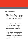## Copy Snippets

#### Ainslie Medium, Français

«Le cheval (Equus ferus caballus ou Equus caballus) est un grand mammifère herbivore et ongulé appartenant à l'une des sept espèces de la famille des équidés. Il a évolué au cours des dernières 45 à 55 millions d'années à partir d'un petit mammifère possédant plusieurs doigts pour devenir un grand animal à sabot unique. L'utilisation du cheval, peut-être domestiqué il y a 9 000 ans dans la péninsule arabique, se serait répandue de 3 000 à 2 000 ans av. J.-C. à toute l'Eurasie. Bien que la quasi-totalité des chevaux soient désormais domestiques, le cheval de Przewalski est considéré comme le dernier vrai cheval sauvage, et il existe de nombreux chevaux domestiques retournés à l'état sauvage.»

http://fr.wikipedia.org/wiki/Cheval

#### Ainslie Demi, Español

«Los caballos han adaptado sus dientes para pastar hierba. Los caballos tienen un mínimo de 36 dientes (12 incisivos y 24 molares). Un caballo adulto tiene 12 incisivos, adaptados para morder y arrancar la hierba y demás vegetación, en la parte frontal de la boca. Tienen 24 dientes adaptados a masticar, los premolares y molares, en la parte posterior de la boca. Los machos adultos tienen cuatro dientes adicionales justo tras los incisivos denominados «colmillos» y que no les saldrán hasta que tengan 4 o 5 años de edad. Algunos caballos, tanto machos como hembras pueden desarrollar de uno a cuatro dientes vestigiales muy pequeños delante de los molares, que generalmente se les quitan porque pueden interferir con el bocado. Este espacio entre incisivos y premolares está vacío y es donde se coloca el bocado del arreo del caballo.» http://es.wikipedia.org/wiki/Equus\_ferus\_caballus

#### Ainslie Bold, Deutsch

"Pferde erreichen je nach Rasse zwischen 40 (Minipony) und 220 (Shire Horse) cm Schulterhöhe (Widerrist). Pferde mit einer Widerristhöhe bis 148 cm bezeichnet man als Ponys. Alle Pferde, die dieses Maß überschreiten, werden als Großpferde bezeichnet. Das Gewicht der Ponys und Großpferde kann zwischen 90 kg (Falabella) und 1200 kg (Shire) liegen. Körperlich ausgewachsen sind Pferde mit sieben Jahren. Großpferde können ein Alter von etwa 20–30 Jahren erreichen, Ponys können dagegen in seltenen Fällen bis zu 50 Jahre alt werden. Das höchste je für ein Großpferd belegte Alter beträgt 62 Jahre. Das zu erreichende Lebensalter ist von Rasse, Haltungsbedingungen und Nutzung abhängig. Stuten werden mit 12 bis 18 Monaten geschlechtsreif, Hengste erreichen die Geschlechtsreife zwischen dem 12. und 20. Lebensmonat. Die Tragezeit beträgt bei allen Pferden rund 330 Tage (11 Monate) mit einer Streuung von 320 bis 355 Tagen."

http://de.wikipedia.org/wiki/Hauspferd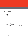### Features

1234567890 1234567890

1234567890 1234567890

Old Style Figures

#### The five boxing wizards jump quickly. The five boxing wizards jump quickly. The five boxing wizards jump quickly.

Small Caps

LIGATURES: ffj ffl fi fi fl ff ffi

Swash Alternates (Swash Terminals): a b e f y

Titling Alternates (Titling Capitals): A B C D E F G H I J K L M N O P Q R S T U V W X Y Z

Stylistic Alternates (Simplified Forms): a d g m n p q r u w x

Style Set One (Misc.): , A g q

Western European Diacratics

Euro Symbol

Central European Characters

Baltic Characters

Turkish Characters

Romanian Characters

Esperanto Characters

. . . . . . . . . . . . . . . . . . Additional Features (available in all weights)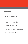### Overview

Get your Aussie on! The new typeface, Ainslie, with its mix of influences from Oz, makes its mark as the first semi-serif from insigne Design.

Ainslie, named for Mt. Ainslie and Canberra's inner suburb of the same name, was originally developed for the Canberra Australia Centennial Typeface Competition. Canberra is Australia's capital, and It's a planned city designed by American Walter Burley Griffin, a contemporary and one-time associate of Frank Lloyd Wright. Griffin's plan involved a distinctly geometric design with several focal points--one of which was Mt. Ainslie. This same purely geometric scheme is now the basis for insigne's new release.

Similar to the Chatype project in its scope, its challenge, and the way its concept was developed, Ainslie incorporates influences from Canberra and surrounding areas to form a font that is uniquely Australian. In comparison, Chatype was developed for the city of Chattanooga, Tennessee by insigne in conjunction with designer Robbie de Villiers. Chatype took elements from Chattanooga's industrial character and Cherokee past and merged them with the area's technological influences.

Likewise, Ainslie takes Canberra's distinct, geometric design and blends it with the organic, flowing effect of aboriginal art. Add in touches from the smooth, aerodynamic design of the boomerang and Ainslie gives you a look uniquely Australian yet usable in a wide range of applications.

The fashionable typeface includes a multitude of alternates that can be accessed in any OpenType-enabled application. These stylish alternates along with a number of swashes as well as meticulously refined details with ball terminals and alternate titling caps keep the font well accessorized. Also included are capital swash alternates, old style figures, and small caps. Peruse the PDF brochure to see these features in action. OpenType enabled applications such as the Adobe suite or Quark can take full advantage of the automatic replacing ligatures and alternates. This family also offers the glyphs to support a wide range of languages.

While Ainslie wasn't selected as the final font in the Canberra competition, the outcome allowed for additional adjustments to the typeface. Several approaches were attempted for the final product including a technological hexagonal concept, which may still be developed to another form later. Some of the organic forms were removed and substituted with more abrupt endings, leaving the face looking pretty spiffy and a fair bit more legible. In the end, Ainslie was pulled back to the basic forms from which it was started.

Give it a go for your next project. It's guaranteed to be anything but a barbeque stopper.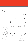Ainslie Thin

Regular 14 pt 22 leading Jacques-Louis David (August 30, 1748 – December 29, 1825) was a highly influential French painter in the Neoclassical style. In the 1780s his cerebral brand of history painting marked a change in taste away from Rococo frivolity towards a classical austerity and severity, chiming with the moral climate of the final years of the ancien régime.

Quick wafting zephyrs vex Medium Jim. THE FIVE BOXING WIZARDS JUMP QUICKLY.

Italic 9 pt 15 leading JACQUES-LOUIS DAVID (August 30, 1748 – December 29, 1825) was a highly influential French painter in the Neoclassical style. In the 1780s his cerebral brand of history painting marked a change in taste

## Ancien Regime Triumph Cycle Co. Ltd. German Raids Alpha Omega Delta Thank You, Dr. Parma!

Indian Curry

away from Rococo frivolity towards a classical austerity and severity, chiming with the moral climate of the

Quick wafting zephyrs vex Medium Jim. THE FIVE BOXING WIZARDS JUMP QUICKLY.

final years of the ancien régime.

Condensed 9 pt 15 leading

JACQUES-LOUIS DAVID (August 30, 1748 – December 29, 1825) was a highly influential French painter in the Neoclassical style. In the 1780s his cerebral brand of history painting marked a change in taste away from Rococo frivolity towards a classical austerity and severity, chiming with the moral climate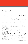Ainslie Light

Regular 14 pt 22 leading Jacques-Louis David (August 30, 1748 – December 29, 1825) was a highly influential French painter in the Neoclassical style. In the 1780s his cerebral brand of history painting marked a change in taste away from Rococo frivolity towards a classical austerity and severity, chiming with the moral climate of the final years of the ancien régime.

Quick wafting zephyrs vex Medium Jim. THE FIVE BOXING WIZARDS JUMP QUICKLY.

Italic 9 pt 15 leading JACQUES-LOUIS DAVID (August 30, 1748 – December 29, 1825) was a highly influential French painter in the Neoclassical style. In the 1780s his cerebral brand of history painting marked a change in taste

## Ancien Regime Triumph Cycle Co. Ltd. German Raids Alpha Omega Delta Thank You, Dr. Parma!

Indian Curry

#### away from Rococo frivolity towards a classical austerity and severity, chiming with the moral climate of the final years of the ancien régime.

Quick wafting zephyrs vex Medium Jim. THE FIVE BOXING WIZARDS JUMP QUICKLY.

Condensed 9 pt 15 leading

JACQUES-LOUIS DAVID (August 30, 1748 – December 29, 1825) was a highly influential French painter in the Neoclassical style. In the 1780s his cerebral brand of history painting marked a change in taste away from Rococo frivolity towards a classical austerity and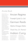### Ainslie Book

Regular 14 pt 22 leading Jacques-Louis David (August 30, 1748 – December 29, 1825) was a highly influential French painter in the Neoclassical style. In the 1780s his cerebral brand of history painting marked a change in taste away from Rococo frivolity towards a classical austerity and severity, chiming with the moral climate of the final years of the ancien régime.

Quick wafting zephyrs vex Medium Jim. THE FIVE BOXING WIZARDS JUMP QUICKLY.

Italic 9 pt 15 leading JACQUES-LOUIS DAVID (August 30, 1748 – December 29, 1825) was a highly influential French painter in the Neoclassical style. In the 1780s his cerebral brand of history painting marked a change in taste

## Ancien Regime Triumph Cycle Co. Ltd. German Raids Alpha Omega Delta Thank You, Dr. Parma!

## Indian Curry

#### away from Rococo frivolity towards

a classical austerity and severity, chiming with the moral climate of the final years of the ancien régime.

Quick wafting zephyrs vex Medium Jim. THE FIVE BOXING WIZARDS JUMP QUICKLY.

Condensed 9 pt 15 leading

JACQUES-LOUIS DAVID (August 30, 1748 – December 29, 1825) was a highly influential French painter in the Neoclassical style. In the 1780s his cerebral brand of history painting marked a change in taste away from Rococo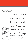## Ainslie Regular

Regular 14 pt 22 leading Jacques-Louis David (August 30, 1748 – December 29, 1825) was a highly influential French painter in the Neoclassical style. In the 1780s his cerebral brand of history painting marked a change in taste away from vRococo frivolity towards a classical austerity and severity, chiming with the moral climate of the final years of the ancien régime.

Quick wafting zephyrs vex Medium Jim. THE FIVE BOXING WIZARDS JUMP QUICKLY.

Italic 9 pt 15 leading JACQUES-LOUIS DAVID (August 30, 1748 – December 29, 1825) was a highly influential French painter in the Neoclassical style. In the 1780s his cerebral brand of history painting marked a change in taste

## Ancien Regime Triumph Cycle Co. Ltd. German Raids Alpha Omega Delta Thank You, Dr. Parma! Indian Curry

#### away from Rococo frivolity towards a classical austerity and severity, chiming with the moral climate of the final years of the ancien régime.

Quick wafting zephyrs vex Medium Jim. THE FIVE BOXING WIZARDS JUMP QUICKLY.

Condensed 9 pt 15 leading

JACQUES-LOUIS DAVID (August 30, 1748 – December 29, 1825) was a highly influential French painter in the Neoclassical style. In the 1780s his cerebral brand of history painting marked a change in taste away from Rococo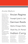### Ainslie Medium

Regular 14 pt 22 leading JACQUES-LOUIS DAVID (August 30, 1748 – December 29, 1825) was a highly influential French painter in the Neoclassical style. In the 1780s his cerebral brand of history painting marked a change in taste away from Rococo frivolity towards a classical austerity and severity, chiming with the moral climate of the final years of the ancien régime.

Quick wafting zephyrs vex Medium Jim. THE FIVE BOXING WIZARDS JUMP QUICKLY.

Italic 9 pt 15 leading JACQUES-LOUIS DAVID (August 30, 1748 – December 29, 1825) was a highly influential French painter in the Neoclassical style. In the 1780s his cerebral brand of history painting marked a change in taste away from Rococo frivolity towards a classical austerity and severity, chiming with the moral climate of the

## Ancien Regime Triumph Cycle Co. Ltd. German Raids Alpha Omega Delta Thank You, Dr. Parma!

## Indian Curry

#### final years of the ancien régime.

Quick wafting zephyrs vex Medium Jim. THE FIVE BOXING WIZARDS JUMP QUICKLY.

Condensed 9 pt 15 leading JACQUES-LOUIS DAVID (August 30, 1748 – December 29, 1825) was a highly influential French painter in the Neoclassical style. In the 1780s his cerebral brand of history painting marked a change in taste away from Rococo frivolity towards a classical austerity and severity, chiming with the moral climate of the final years of the ancien régime.

Quick wafting zephyrs vex Medium Jim. THE FIVE BOXING WIZARDS JUMP QUICKLY.

#### Condensed 5 pt 9 leading

Jacques-Louis David (August 30, 1748 – December 20, 1825) highly influential French painter in the Neoclassical style. In the 1780s his cerebral brand of history painting marked a change in taste away from Rococo frivolity towards a classical austerity and severity, chiming with the moral climate of the final years of the ancien régime.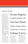### Ainslie Demi

Regular 14 pt 22 leading JACOUES-LOUIS DAVID (August 30, 1748 – December 29, 1825) was a highly influential French painter in the Neoclassical style. In the 1780s his cerebral brand of history painting marked a change in taste away from Rococo frivolity towards a classical austerity and severity, chiming with the moral climate of the final years of the ancien régime.

Quick wafting zephyrs vex Medium Jim. THE FIVE BOXING WIZARDS JUMP QUICKLY.

Italic 9 pt 15 leading JACQUES-LOUIS DAVID (August 30, 1748 – December 29, 1825) was a highly influential French painter in the Neoclassical style. In the 1780s his cerebral brand of history painting marked a change in taste away from Rococo frivolity towards a classical austerity and severity, chiming with the moral climate of the

## Ancien Regime Triumph Cycle Co. Ltd. German Raids

Alpha Omega Delta

Thank You, Dr. Parma!

## Indian Curry

#### final years of the ancien régime.

Quick wafting zephyrs vex Medium Jim. THE FIVE BOXING WIZARDS JUMP QUICKLY.

Condensed 9 pt 15 leading JACQUES-LOUIS DAVID (August 30, 1748 – December 29, 1825) was a highly influential French painter in the Neoclassical style. In the 1780s his cerebral brand of history painting marked a change in taste away from Rococo

frivolity towards a classical austerity and severity, chiming with the moral climate of the final years of the ancien régime.

Quick wafting zephyrs vex Medium Jim. THE FIVE BOXING WIZARDS JUMP QUICKLY.

#### Condensed 5 pt 9 leading

Jacques-Louis David (August 30, 1748 – Dece highly influential French painter in the Neoclassical style. In the 1780s his cerebral brand of history painting marked a change in taste away from Rococo frivolity towards a classical austerity and severity, chiming with the moral climate of the final years of the ancien régime.